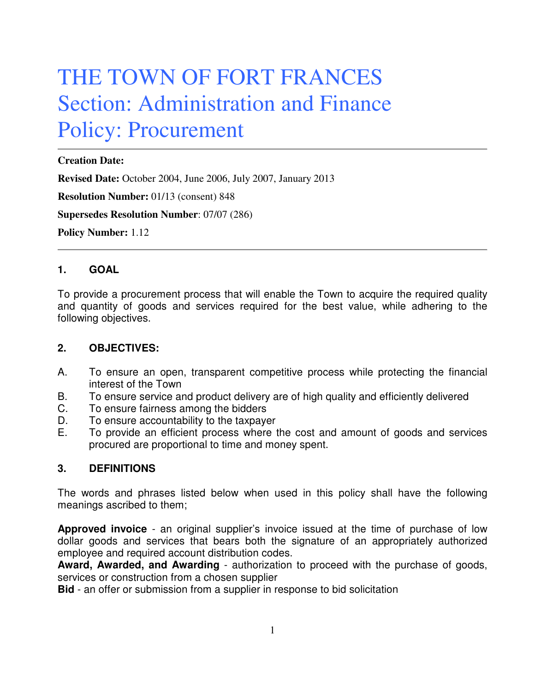# THE TOWN OF FORT FRANCES Section: Administration and Finance Policy: Procurement

#### **Creation Date:**

**Revised Date:** October 2004, June 2006, July 2007, January 2013

**Resolution Number:** 01/13 (consent) 848

**Supersedes Resolution Number**: 07/07 (286)

**Policy Number:** 1.12

#### **1. GOAL**

To provide a procurement process that will enable the Town to acquire the required quality and quantity of goods and services required for the best value, while adhering to the following objectives.

#### **2. OBJECTIVES:**

- A. To ensure an open, transparent competitive process while protecting the financial interest of the Town
- B. To ensure service and product delivery are of high quality and efficiently delivered
- C. To ensure fairness among the bidders
- D. To ensure accountability to the taxpayer
- E. To provide an efficient process where the cost and amount of goods and services procured are proportional to time and money spent.

#### **3. DEFINITIONS**

The words and phrases listed below when used in this policy shall have the following meanings ascribed to them;

**Approved invoice** - an original supplier's invoice issued at the time of purchase of low dollar goods and services that bears both the signature of an appropriately authorized employee and required account distribution codes.

**Award, Awarded, and Awarding** - authorization to proceed with the purchase of goods, services or construction from a chosen supplier

**Bid** - an offer or submission from a supplier in response to bid solicitation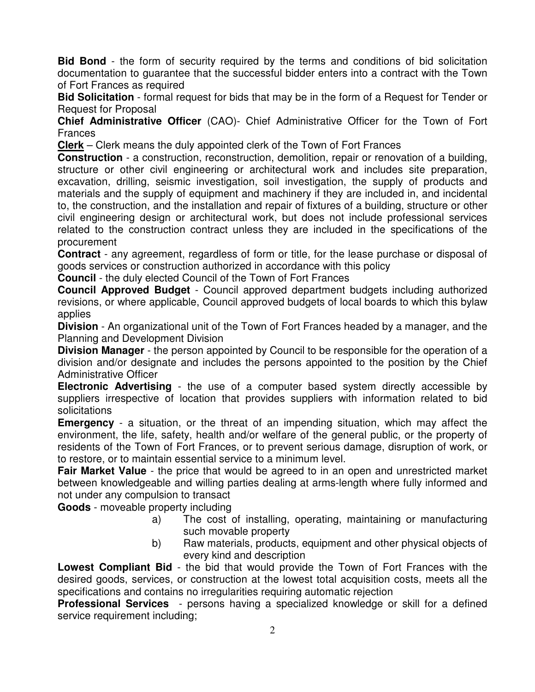**Bid Bond** - the form of security required by the terms and conditions of bid solicitation documentation to guarantee that the successful bidder enters into a contract with the Town of Fort Frances as required

**Bid Solicitation** - formal request for bids that may be in the form of a Request for Tender or Request for Proposal

**Chief Administrative Officer** (CAO)- Chief Administrative Officer for the Town of Fort Frances

**Clerk** – Clerk means the duly appointed clerk of the Town of Fort Frances

**Construction** - a construction, reconstruction, demolition, repair or renovation of a building, structure or other civil engineering or architectural work and includes site preparation, excavation, drilling, seismic investigation, soil investigation, the supply of products and materials and the supply of equipment and machinery if they are included in, and incidental to, the construction, and the installation and repair of fixtures of a building, structure or other civil engineering design or architectural work, but does not include professional services related to the construction contract unless they are included in the specifications of the procurement

**Contract** - any agreement, regardless of form or title, for the lease purchase or disposal of goods services or construction authorized in accordance with this policy

**Council** - the duly elected Council of the Town of Fort Frances

**Council Approved Budget** - Council approved department budgets including authorized revisions, or where applicable, Council approved budgets of local boards to which this bylaw applies

**Division** - An organizational unit of the Town of Fort Frances headed by a manager, and the Planning and Development Division

**Division Manager** - the person appointed by Council to be responsible for the operation of a division and/or designate and includes the persons appointed to the position by the Chief Administrative Officer

**Electronic Advertising** - the use of a computer based system directly accessible by suppliers irrespective of location that provides suppliers with information related to bid solicitations

**Emergency** - a situation, or the threat of an impending situation, which may affect the environment, the life, safety, health and/or welfare of the general public, or the property of residents of the Town of Fort Frances, or to prevent serious damage, disruption of work, or to restore, or to maintain essential service to a minimum level.

**Fair Market Value** - the price that would be agreed to in an open and unrestricted market between knowledgeable and willing parties dealing at arms-length where fully informed and not under any compulsion to transact

**Goods** - moveable property including

- a) The cost of installing, operating, maintaining or manufacturing such movable property
- b) Raw materials, products, equipment and other physical objects of every kind and description

**Lowest Compliant Bid** - the bid that would provide the Town of Fort Frances with the desired goods, services, or construction at the lowest total acquisition costs, meets all the specifications and contains no irregularities requiring automatic rejection

**Professional Services** - persons having a specialized knowledge or skill for a defined service requirement including;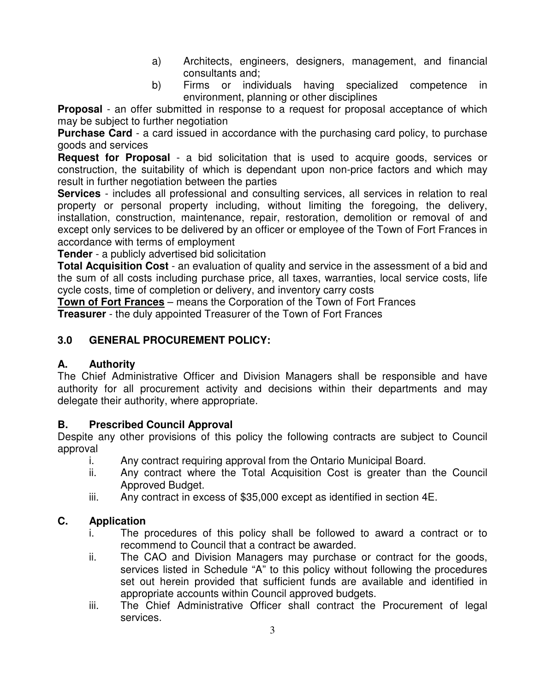- a) Architects, engineers, designers, management, and financial consultants and;
- b) Firms or individuals having specialized competence in environment, planning or other disciplines

**Proposal** - an offer submitted in response to a request for proposal acceptance of which may be subject to further negotiation

**Purchase Card** - a card issued in accordance with the purchasing card policy, to purchase goods and services

**Request for Proposal** - a bid solicitation that is used to acquire goods, services or construction, the suitability of which is dependant upon non-price factors and which may result in further negotiation between the parties

**Services** - includes all professional and consulting services, all services in relation to real property or personal property including, without limiting the foregoing, the delivery, installation, construction, maintenance, repair, restoration, demolition or removal of and except only services to be delivered by an officer or employee of the Town of Fort Frances in accordance with terms of employment

**Tender** - a publicly advertised bid solicitation

**Total Acquisition Cost** - an evaluation of quality and service in the assessment of a bid and the sum of all costs including purchase price, all taxes, warranties, local service costs, life cycle costs, time of completion or delivery, and inventory carry costs

**Town of Fort Frances** – means the Corporation of the Town of Fort Frances **Treasurer** - the duly appointed Treasurer of the Town of Fort Frances

### **3.0 GENERAL PROCUREMENT POLICY:**

#### **A. Authority**

The Chief Administrative Officer and Division Managers shall be responsible and have authority for all procurement activity and decisions within their departments and may delegate their authority, where appropriate.

#### **B. Prescribed Council Approval**

Despite any other provisions of this policy the following contracts are subject to Council approval

- i. Any contract requiring approval from the Ontario Municipal Board.
- ii. Any contract where the Total Acquisition Cost is greater than the Council Approved Budget.
- iii. Any contract in excess of \$35,000 except as identified in section 4E.

#### **C. Application**

- i. The procedures of this policy shall be followed to award a contract or to recommend to Council that a contract be awarded.
- ii. The CAO and Division Managers may purchase or contract for the goods, services listed in Schedule "A" to this policy without following the procedures set out herein provided that sufficient funds are available and identified in appropriate accounts within Council approved budgets.
- iii. The Chief Administrative Officer shall contract the Procurement of legal services.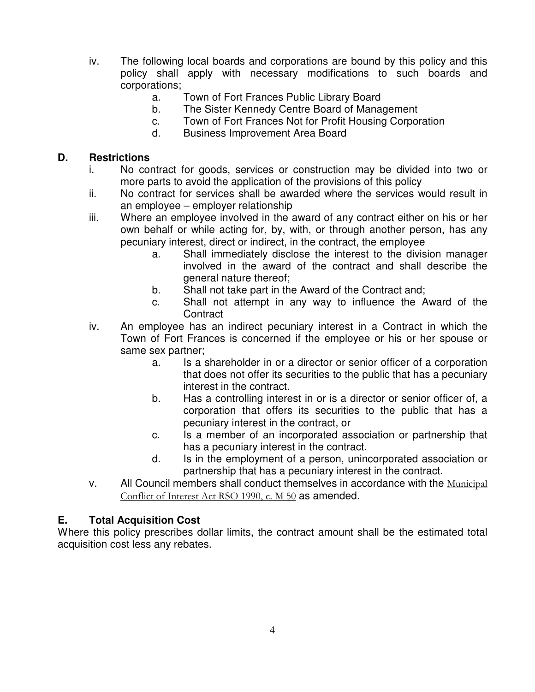- iv. The following local boards and corporations are bound by this policy and this policy shall apply with necessary modifications to such boards and corporations;
	- a. Town of Fort Frances Public Library Board
	- b. The Sister Kennedy Centre Board of Management
	- c. Town of Fort Frances Not for Profit Housing Corporation
	- d. Business Improvement Area Board

#### **D. Restrictions**

- i. No contract for goods, services or construction may be divided into two or more parts to avoid the application of the provisions of this policy
- ii. No contract for services shall be awarded where the services would result in an employee – employer relationship
- iii. Where an employee involved in the award of any contract either on his or her own behalf or while acting for, by, with, or through another person, has any pecuniary interest, direct or indirect, in the contract, the employee
	- a. Shall immediately disclose the interest to the division manager involved in the award of the contract and shall describe the general nature thereof;
	- b. Shall not take part in the Award of the Contract and;
	- c. Shall not attempt in any way to influence the Award of the **Contract**
- iv. An employee has an indirect pecuniary interest in a Contract in which the Town of Fort Frances is concerned if the employee or his or her spouse or same sex partner;
	- a. Is a shareholder in or a director or senior officer of a corporation that does not offer its securities to the public that has a pecuniary interest in the contract.
	- b. Has a controlling interest in or is a director or senior officer of, a corporation that offers its securities to the public that has a pecuniary interest in the contract, or
	- c. Is a member of an incorporated association or partnership that has a pecuniary interest in the contract.
	- d. Is in the employment of a person, unincorporated association or partnership that has a pecuniary interest in the contract.
- v. All Council members shall conduct themselves in accordance with the Municipal Conflict of Interest Act RSO 1990, c. M 50 as amended.

#### **E. Total Acquisition Cost**

Where this policy prescribes dollar limits, the contract amount shall be the estimated total acquisition cost less any rebates.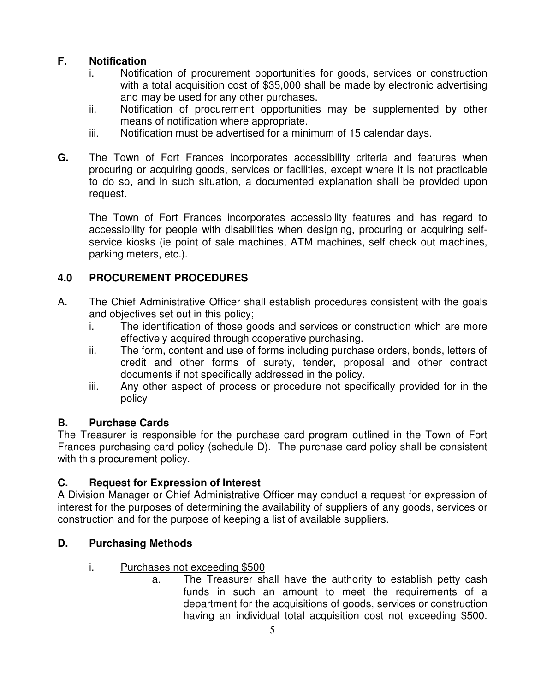# **F. Notification**

- i. Notification of procurement opportunities for goods, services or construction with a total acquisition cost of \$35,000 shall be made by electronic advertising and may be used for any other purchases.
- ii. Notification of procurement opportunities may be supplemented by other means of notification where appropriate.
- iii. Notification must be advertised for a minimum of 15 calendar days.
- **G.** The Town of Fort Frances incorporates accessibility criteria and features when procuring or acquiring goods, services or facilities, except where it is not practicable to do so, and in such situation, a documented explanation shall be provided upon request.

 The Town of Fort Frances incorporates accessibility features and has regard to accessibility for people with disabilities when designing, procuring or acquiring selfservice kiosks (ie point of sale machines, ATM machines, self check out machines, parking meters, etc.).

# **4.0 PROCUREMENT PROCEDURES**

- A. The Chief Administrative Officer shall establish procedures consistent with the goals and objectives set out in this policy;
	- i. The identification of those goods and services or construction which are more effectively acquired through cooperative purchasing.
	- ii. The form, content and use of forms including purchase orders, bonds, letters of credit and other forms of surety, tender, proposal and other contract documents if not specifically addressed in the policy.
	- iii. Any other aspect of process or procedure not specifically provided for in the policy

# **B. Purchase Cards**

The Treasurer is responsible for the purchase card program outlined in the Town of Fort Frances purchasing card policy (schedule D). The purchase card policy shall be consistent with this procurement policy.

# **C. Request for Expression of Interest**

A Division Manager or Chief Administrative Officer may conduct a request for expression of interest for the purposes of determining the availability of suppliers of any goods, services or construction and for the purpose of keeping a list of available suppliers.

# **D. Purchasing Methods**

- i. Purchases not exceeding \$500
	- a. The Treasurer shall have the authority to establish petty cash funds in such an amount to meet the requirements of a department for the acquisitions of goods, services or construction having an individual total acquisition cost not exceeding \$500.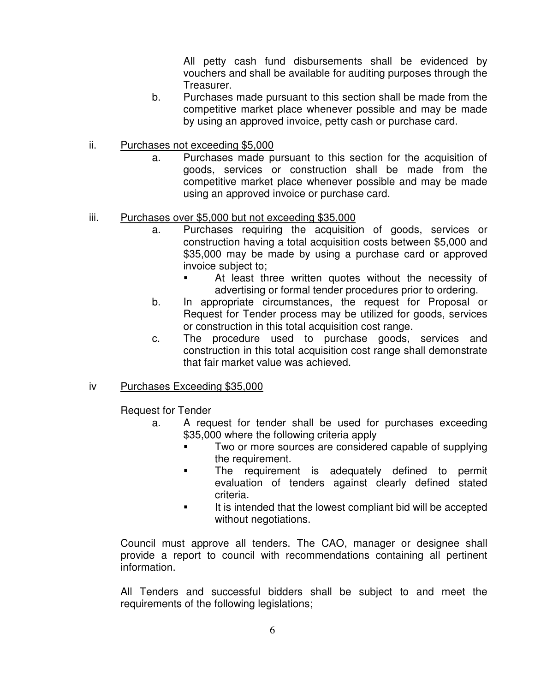All petty cash fund disbursements shall be evidenced by vouchers and shall be available for auditing purposes through the Treasurer.

- b. Purchases made pursuant to this section shall be made from the competitive market place whenever possible and may be made by using an approved invoice, petty cash or purchase card.
- ii. Purchases not exceeding \$5,000
	- a. Purchases made pursuant to this section for the acquisition of goods, services or construction shall be made from the competitive market place whenever possible and may be made using an approved invoice or purchase card.

#### iii. Purchases over \$5,000 but not exceeding \$35,000

- a. Purchases requiring the acquisition of goods, services or construction having a total acquisition costs between \$5,000 and \$35,000 may be made by using a purchase card or approved invoice subject to;
	- At least three written quotes without the necessity of advertising or formal tender procedures prior to ordering.
- b. In appropriate circumstances, the request for Proposal or Request for Tender process may be utilized for goods, services or construction in this total acquisition cost range.
- c. The procedure used to purchase goods, services and construction in this total acquisition cost range shall demonstrate that fair market value was achieved.

#### iv Purchases Exceeding \$35,000

Request for Tender

- a. A request for tender shall be used for purchases exceeding \$35,000 where the following criteria apply
	- Two or more sources are considered capable of supplying the requirement.
	- The requirement is adequately defined to permit evaluation of tenders against clearly defined stated criteria.
	- It is intended that the lowest compliant bid will be accepted without negotiations.

Council must approve all tenders. The CAO, manager or designee shall provide a report to council with recommendations containing all pertinent information.

All Tenders and successful bidders shall be subject to and meet the requirements of the following legislations;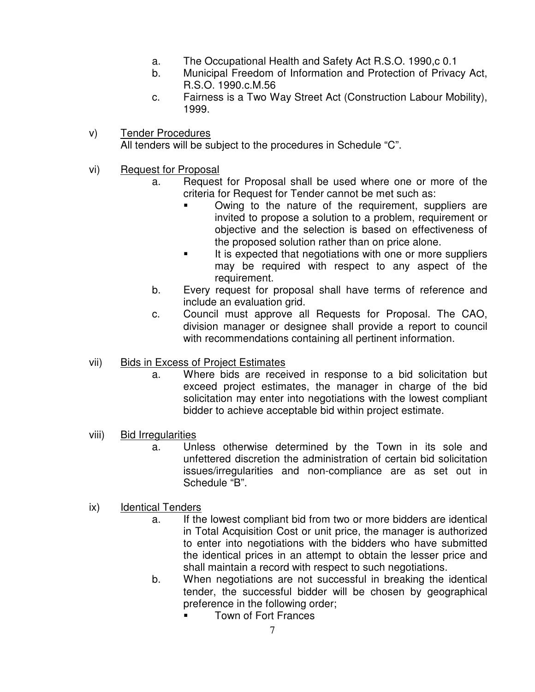- a. The Occupational Health and Safety Act R.S.O. 1990,c 0.1
- b. Municipal Freedom of Information and Protection of Privacy Act, R.S.O. 1990.c.M.56
- c. Fairness is a Two Way Street Act (Construction Labour Mobility), 1999.
- v) Tender Procedures All tenders will be subject to the procedures in Schedule "C".
- vi) Request for Proposal
	- a. Request for Proposal shall be used where one or more of the criteria for Request for Tender cannot be met such as:
		- Owing to the nature of the requirement, suppliers are invited to propose a solution to a problem, requirement or objective and the selection is based on effectiveness of the proposed solution rather than on price alone.
		- It is expected that negotiations with one or more suppliers may be required with respect to any aspect of the requirement.
	- b. Every request for proposal shall have terms of reference and include an evaluation grid.
	- c. Council must approve all Requests for Proposal. The CAO, division manager or designee shall provide a report to council with recommendations containing all pertinent information.

#### vii) Bids in Excess of Project Estimates

- a. Where bids are received in response to a bid solicitation but exceed project estimates, the manager in charge of the bid solicitation may enter into negotiations with the lowest compliant bidder to achieve acceptable bid within project estimate.
- viii) Bid Irregularities
	- a. Unless otherwise determined by the Town in its sole and unfettered discretion the administration of certain bid solicitation issues/irregularities and non-compliance are as set out in Schedule "B".
- ix) Identical Tenders
	- a. If the lowest compliant bid from two or more bidders are identical in Total Acquisition Cost or unit price, the manager is authorized to enter into negotiations with the bidders who have submitted the identical prices in an attempt to obtain the lesser price and shall maintain a record with respect to such negotiations.
	- b. When negotiations are not successful in breaking the identical tender, the successful bidder will be chosen by geographical preference in the following order;
		- Town of Fort Frances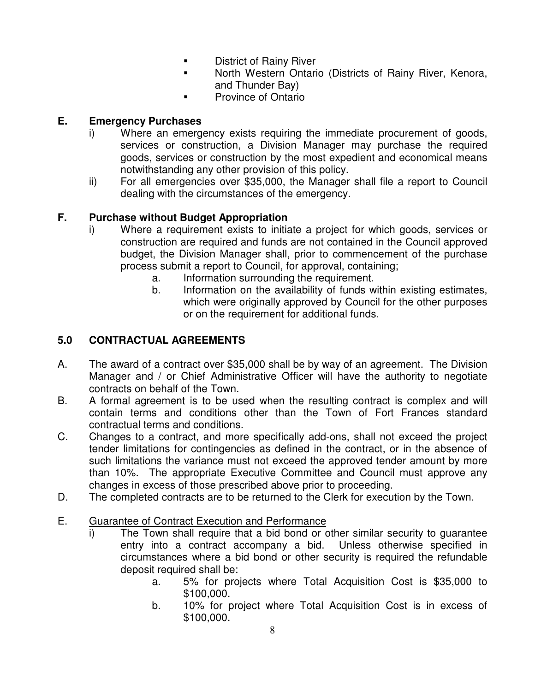- **District of Rainy River**
- North Western Ontario (Districts of Rainy River, Kenora, and Thunder Bay)
- Province of Ontario

# **E. Emergency Purchases**

- i) Where an emergency exists requiring the immediate procurement of goods, services or construction, a Division Manager may purchase the required goods, services or construction by the most expedient and economical means notwithstanding any other provision of this policy.
- ii) For all emergencies over \$35,000, the Manager shall file a report to Council dealing with the circumstances of the emergency.

# **F. Purchase without Budget Appropriation**

- i) Where a requirement exists to initiate a project for which goods, services or construction are required and funds are not contained in the Council approved budget, the Division Manager shall, prior to commencement of the purchase process submit a report to Council, for approval, containing;
	- a. Information surrounding the requirement.
	- b. Information on the availability of funds within existing estimates, which were originally approved by Council for the other purposes or on the requirement for additional funds.

# **5.0 CONTRACTUAL AGREEMENTS**

- A. The award of a contract over \$35,000 shall be by way of an agreement. The Division Manager and / or Chief Administrative Officer will have the authority to negotiate contracts on behalf of the Town.
- B. A formal agreement is to be used when the resulting contract is complex and will contain terms and conditions other than the Town of Fort Frances standard contractual terms and conditions.
- C. Changes to a contract, and more specifically add-ons, shall not exceed the project tender limitations for contingencies as defined in the contract, or in the absence of such limitations the variance must not exceed the approved tender amount by more than 10%. The appropriate Executive Committee and Council must approve any changes in excess of those prescribed above prior to proceeding.
- D. The completed contracts are to be returned to the Clerk for execution by the Town.

# E. Guarantee of Contract Execution and Performance

- i) The Town shall require that a bid bond or other similar security to guarantee entry into a contract accompany a bid. Unless otherwise specified in circumstances where a bid bond or other security is required the refundable deposit required shall be:
	- a. 5% for projects where Total Acquisition Cost is \$35,000 to \$100,000.
	- b. 10% for project where Total Acquisition Cost is in excess of \$100,000.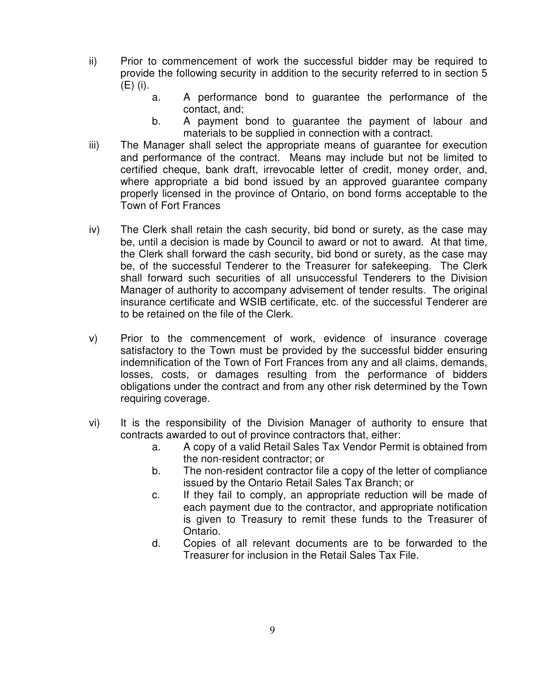- ii) Prior to commencement of work the successful bidder may be required to provide the following security in addition to the security referred to in section 5 (E) (i).
	- a. A performance bond to guarantee the performance of the contact, and;
	- b. A payment bond to guarantee the payment of labour and materials to be supplied in connection with a contract.
- iii) The Manager shall select the appropriate means of guarantee for execution and performance of the contract. Means may include but not be limited to certified cheque, bank draft, irrevocable letter of credit, money order, and, where appropriate a bid bond issued by an approved guarantee company properly licensed in the province of Ontario, on bond forms acceptable to the Town of Fort Frances
- iv) The Clerk shall retain the cash security, bid bond or surety, as the case may be, until a decision is made by Council to award or not to award. At that time, the Clerk shall forward the cash security, bid bond or surety, as the case may be, of the successful Tenderer to the Treasurer for safekeeping. The Clerk shall forward such securities of all unsuccessful Tenderers to the Division Manager of authority to accompany advisement of tender results. The original insurance certificate and WSIB certificate, etc. of the successful Tenderer are to be retained on the file of the Clerk.
- v) Prior to the commencement of work, evidence of insurance coverage satisfactory to the Town must be provided by the successful bidder ensuring indemnification of the Town of Fort Frances from any and all claims, demands, losses, costs, or damages resulting from the performance of bidders obligations under the contract and from any other risk determined by the Town requiring coverage.
- vi) It is the responsibility of the Division Manager of authority to ensure that contracts awarded to out of province contractors that, either:
	- a. A copy of a valid Retail Sales Tax Vendor Permit is obtained from the non-resident contractor; or
	- b. The non-resident contractor file a copy of the letter of compliance issued by the Ontario Retail Sales Tax Branch; or
	- c. If they fail to comply, an appropriate reduction will be made of each payment due to the contractor, and appropriate notification is given to Treasury to remit these funds to the Treasurer of Ontario.
	- d. Copies of all relevant documents are to be forwarded to the Treasurer for inclusion in the Retail Sales Tax File.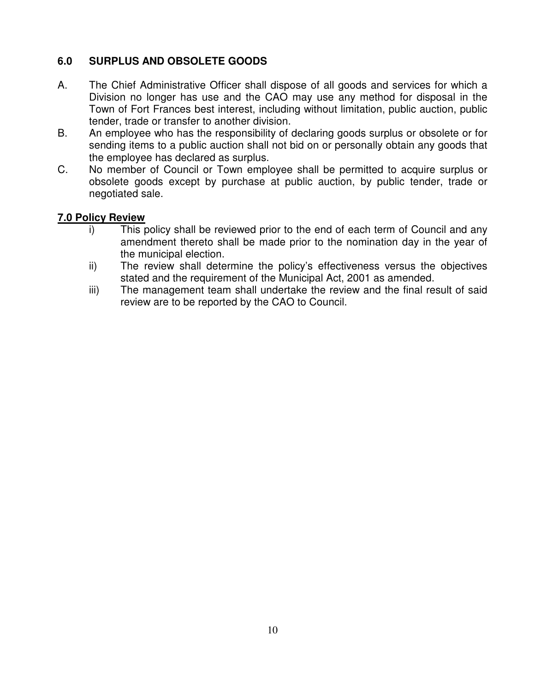# **6.0 SURPLUS AND OBSOLETE GOODS**

- A. The Chief Administrative Officer shall dispose of all goods and services for which a Division no longer has use and the CAO may use any method for disposal in the Town of Fort Frances best interest, including without limitation, public auction, public tender, trade or transfer to another division.
- B. An employee who has the responsibility of declaring goods surplus or obsolete or for sending items to a public auction shall not bid on or personally obtain any goods that the employee has declared as surplus.
- C. No member of Council or Town employee shall be permitted to acquire surplus or obsolete goods except by purchase at public auction, by public tender, trade or negotiated sale.

#### **7.0 Policy Review**

- i) This policy shall be reviewed prior to the end of each term of Council and any amendment thereto shall be made prior to the nomination day in the year of the municipal election.
- ii) The review shall determine the policy's effectiveness versus the objectives stated and the requirement of the Municipal Act, 2001 as amended.
- iii) The management team shall undertake the review and the final result of said review are to be reported by the CAO to Council.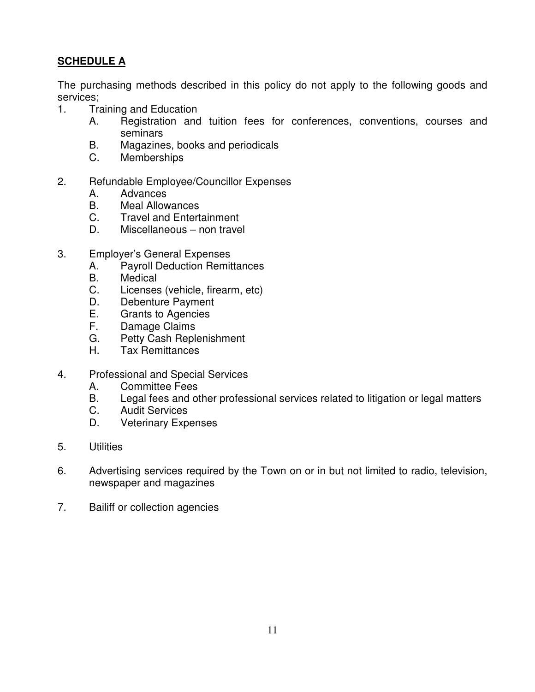# **SCHEDULE A**

The purchasing methods described in this policy do not apply to the following goods and services;

- 1. Training and Education
	- A. Registration and tuition fees for conferences, conventions, courses and seminars
	- B. Magazines, books and periodicals
	- C. Memberships
- 2. Refundable Employee/Councillor Expenses
	- A. Advances
	- B. Meal Allowances
	- C. Travel and Entertainment
	- D. Miscellaneous non travel
- 3. Employer's General Expenses
	- A. Payroll Deduction Remittances
	- B. Medical
	- C. Licenses (vehicle, firearm, etc)
	- D. Debenture Payment
	- E. Grants to Agencies
	- F. Damage Claims
	- G. Petty Cash Replenishment
	- H. Tax Remittances
- 4. Professional and Special Services
	- A. Committee Fees
	- B. Legal fees and other professional services related to litigation or legal matters
	- C. Audit Services
	- D. Veterinary Expenses
- 5. Utilities
- 6. Advertising services required by the Town on or in but not limited to radio, television, newspaper and magazines
- 7. Bailiff or collection agencies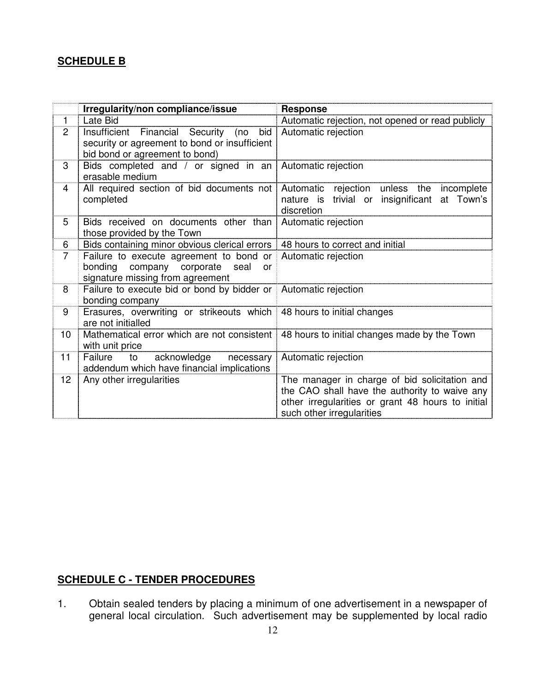# **SCHEDULE B**

|                | Irregularity/non compliance/issue                                                                                                       | <b>Response</b>                                                                                                                                                                  |  |  |
|----------------|-----------------------------------------------------------------------------------------------------------------------------------------|----------------------------------------------------------------------------------------------------------------------------------------------------------------------------------|--|--|
| $\mathbf{1}$   | Late Bid                                                                                                                                | Automatic rejection, not opened or read publicly                                                                                                                                 |  |  |
| $\overline{2}$ | Insufficient Financial Security (no<br>bid<br>security or agreement to bond or insufficient<br>bid bond or agreement to bond)           | Automatic rejection                                                                                                                                                              |  |  |
| 3              | Bids completed and / or signed in an<br>erasable medium                                                                                 | Automatic rejection                                                                                                                                                              |  |  |
| 4              | All required section of bid documents not<br>completed                                                                                  | Automatic rejection unless the<br>incomplete<br>trivial or insignificant<br>nature is<br>at Town's<br>discretion                                                                 |  |  |
| 5              | Bids received on documents other than<br>those provided by the Town                                                                     | Automatic rejection                                                                                                                                                              |  |  |
| 6              | Bids containing minor obvious clerical errors   48 hours to correct and initial                                                         |                                                                                                                                                                                  |  |  |
| $\overline{7}$ | Failure to execute agreement to bond or Automatic rejection<br>bonding company corporate seal<br>or<br>signature missing from agreement |                                                                                                                                                                                  |  |  |
| 8              | Failure to execute bid or bond by bidder or Automatic rejection<br>bonding company                                                      |                                                                                                                                                                                  |  |  |
| 9              | Erasures, overwriting or strikeouts which 48 hours to initial changes<br>are not initialled                                             |                                                                                                                                                                                  |  |  |
| 10             | with unit price                                                                                                                         | Mathematical error which are not consistent   48 hours to initial changes made by the Town                                                                                       |  |  |
| 11             | Failure<br>to<br>acknowledge<br>necessary<br>addendum which have financial implications                                                 | Automatic rejection                                                                                                                                                              |  |  |
| 12             | Any other irregularities                                                                                                                | The manager in charge of bid solicitation and<br>the CAO shall have the authority to waive any<br>other irregularities or grant 48 hours to initial<br>such other irregularities |  |  |

# **SCHEDULE C - TENDER PROCEDURES**

1. Obtain sealed tenders by placing a minimum of one advertisement in a newspaper of general local circulation. Such advertisement may be supplemented by local radio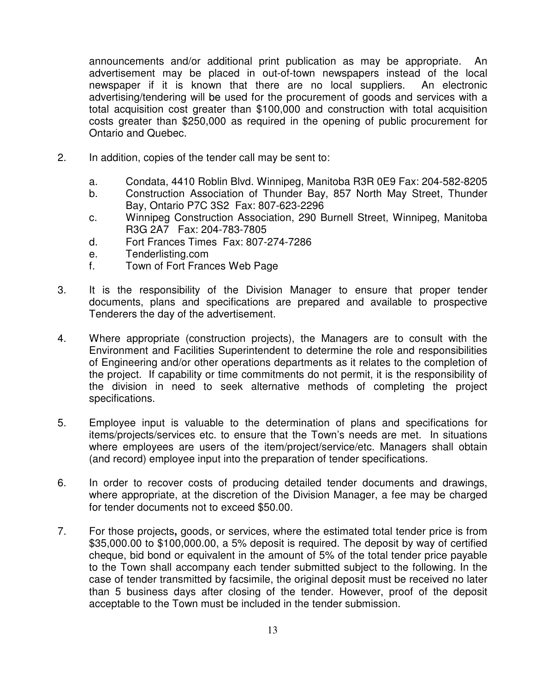announcements and/or additional print publication as may be appropriate. An advertisement may be placed in out-of-town newspapers instead of the local newspaper if it is known that there are no local suppliers. An electronic advertising/tendering will be used for the procurement of goods and services with a total acquisition cost greater than \$100,000 and construction with total acquisition costs greater than \$250,000 as required in the opening of public procurement for Ontario and Quebec.

- 2. In addition, copies of the tender call may be sent to:
	- a. Condata, 4410 Roblin Blvd. Winnipeg, Manitoba R3R 0E9 Fax: 204-582-8205
	- b. Construction Association of Thunder Bay, 857 North May Street, Thunder Bay, Ontario P7C 3S2 Fax: 807-623-2296
	- c. Winnipeg Construction Association, 290 Burnell Street, Winnipeg, Manitoba R3G 2A7 Fax: 204-783-7805
	- d. Fort Frances Times Fax: 807-274-7286
	- e. Tenderlisting.com
	- f. Town of Fort Frances Web Page
- 3. It is the responsibility of the Division Manager to ensure that proper tender documents, plans and specifications are prepared and available to prospective Tenderers the day of the advertisement.
- 4. Where appropriate (construction projects), the Managers are to consult with the Environment and Facilities Superintendent to determine the role and responsibilities of Engineering and/or other operations departments as it relates to the completion of the project. If capability or time commitments do not permit, it is the responsibility of the division in need to seek alternative methods of completing the project specifications.
- 5. Employee input is valuable to the determination of plans and specifications for items/projects/services etc. to ensure that the Town's needs are met. In situations where employees are users of the item/project/service/etc. Managers shall obtain (and record) employee input into the preparation of tender specifications.
- 6. In order to recover costs of producing detailed tender documents and drawings, where appropriate, at the discretion of the Division Manager, a fee may be charged for tender documents not to exceed \$50.00.
- 7. For those projects**,** goods, or services, where the estimated total tender price is from \$35,000.00 to \$100,000.00, a 5% deposit is required. The deposit by way of certified cheque, bid bond or equivalent in the amount of 5% of the total tender price payable to the Town shall accompany each tender submitted subject to the following. In the case of tender transmitted by facsimile, the original deposit must be received no later than 5 business days after closing of the tender. However, proof of the deposit acceptable to the Town must be included in the tender submission.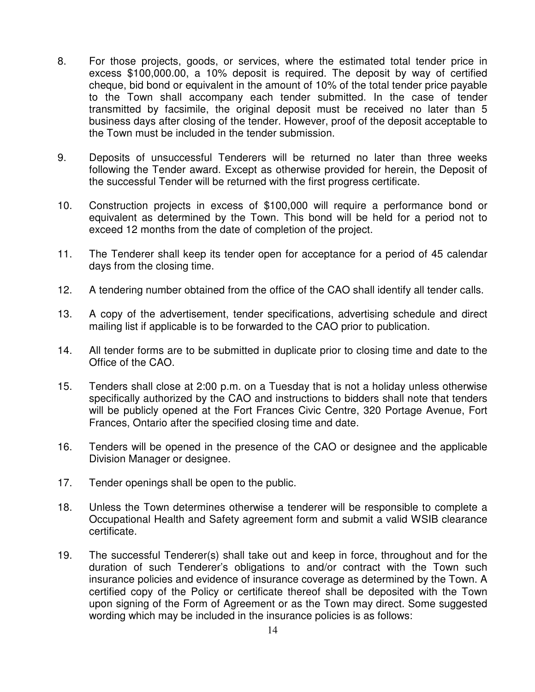- 8. For those projects, goods, or services, where the estimated total tender price in excess \$100,000.00, a 10% deposit is required. The deposit by way of certified cheque, bid bond or equivalent in the amount of 10% of the total tender price payable to the Town shall accompany each tender submitted. In the case of tender transmitted by facsimile, the original deposit must be received no later than 5 business days after closing of the tender. However, proof of the deposit acceptable to the Town must be included in the tender submission.
- 9. Deposits of unsuccessful Tenderers will be returned no later than three weeks following the Tender award. Except as otherwise provided for herein, the Deposit of the successful Tender will be returned with the first progress certificate.
- 10. Construction projects in excess of \$100,000 will require a performance bond or equivalent as determined by the Town. This bond will be held for a period not to exceed 12 months from the date of completion of the project.
- 11. The Tenderer shall keep its tender open for acceptance for a period of 45 calendar days from the closing time.
- 12. A tendering number obtained from the office of the CAO shall identify all tender calls.
- 13. A copy of the advertisement, tender specifications, advertising schedule and direct mailing list if applicable is to be forwarded to the CAO prior to publication.
- 14. All tender forms are to be submitted in duplicate prior to closing time and date to the Office of the CAO.
- 15. Tenders shall close at 2:00 p.m. on a Tuesday that is not a holiday unless otherwise specifically authorized by the CAO and instructions to bidders shall note that tenders will be publicly opened at the Fort Frances Civic Centre, 320 Portage Avenue, Fort Frances, Ontario after the specified closing time and date.
- 16. Tenders will be opened in the presence of the CAO or designee and the applicable Division Manager or designee.
- 17. Tender openings shall be open to the public.
- 18. Unless the Town determines otherwise a tenderer will be responsible to complete a Occupational Health and Safety agreement form and submit a valid WSIB clearance certificate.
- 19. The successful Tenderer(s) shall take out and keep in force, throughout and for the duration of such Tenderer's obligations to and/or contract with the Town such insurance policies and evidence of insurance coverage as determined by the Town. A certified copy of the Policy or certificate thereof shall be deposited with the Town upon signing of the Form of Agreement or as the Town may direct. Some suggested wording which may be included in the insurance policies is as follows: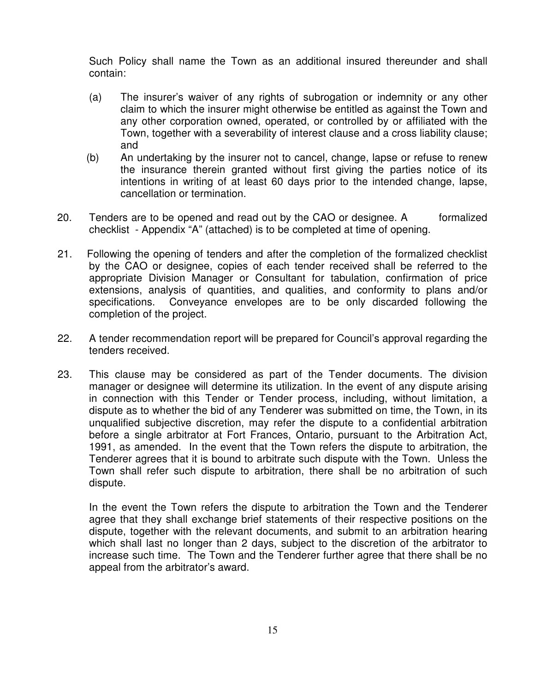Such Policy shall name the Town as an additional insured thereunder and shall contain:

- (a) The insurer's waiver of any rights of subrogation or indemnity or any other claim to which the insurer might otherwise be entitled as against the Town and any other corporation owned, operated, or controlled by or affiliated with the Town, together with a severability of interest clause and a cross liability clause; and
- (b) An undertaking by the insurer not to cancel, change, lapse or refuse to renew the insurance therein granted without first giving the parties notice of its intentions in writing of at least 60 days prior to the intended change, lapse, cancellation or termination.
- 20. Tenders are to be opened and read out by the CAO or designee. A formalized checklist - Appendix "A" (attached) is to be completed at time of opening.
- 21. Following the opening of tenders and after the completion of the formalized checklist by the CAO or designee, copies of each tender received shall be referred to the appropriate Division Manager or Consultant for tabulation, confirmation of price extensions, analysis of quantities, and qualities, and conformity to plans and/or specifications. Conveyance envelopes are to be only discarded following the completion of the project.
- 22. A tender recommendation report will be prepared for Council's approval regarding the tenders received.
- 23. This clause may be considered as part of the Tender documents. The division manager or designee will determine its utilization. In the event of any dispute arising in connection with this Tender or Tender process, including, without limitation, a dispute as to whether the bid of any Tenderer was submitted on time, the Town, in its unqualified subjective discretion, may refer the dispute to a confidential arbitration before a single arbitrator at Fort Frances, Ontario, pursuant to the Arbitration Act, 1991, as amended. In the event that the Town refers the dispute to arbitration, the Tenderer agrees that it is bound to arbitrate such dispute with the Town. Unless the Town shall refer such dispute to arbitration, there shall be no arbitration of such dispute.

In the event the Town refers the dispute to arbitration the Town and the Tenderer agree that they shall exchange brief statements of their respective positions on the dispute, together with the relevant documents, and submit to an arbitration hearing which shall last no longer than 2 days, subject to the discretion of the arbitrator to increase such time. The Town and the Tenderer further agree that there shall be no appeal from the arbitrator's award.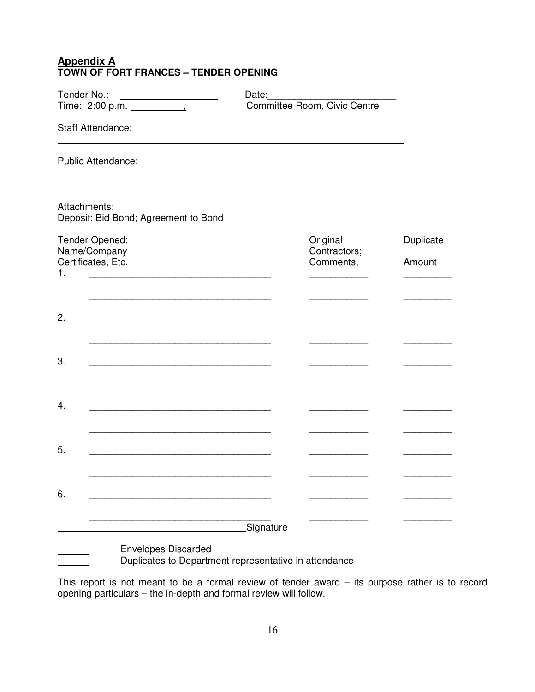#### **Appendix A TOWN OF FORT FRANCES – TENDER OPENING**

| Tender No.:                                                                                                                                                                                                                         | Date:                        |                                               |                     |  |  |
|-------------------------------------------------------------------------------------------------------------------------------------------------------------------------------------------------------------------------------------|------------------------------|-----------------------------------------------|---------------------|--|--|
|                                                                                                                                                                                                                                     | Committee Room, Civic Centre |                                               |                     |  |  |
| <b>Staff Attendance:</b>                                                                                                                                                                                                            |                              |                                               |                     |  |  |
| <b>Public Attendance:</b>                                                                                                                                                                                                           |                              |                                               |                     |  |  |
| Attachments:<br>Deposit; Bid Bond; Agreement to Bond                                                                                                                                                                                |                              |                                               |                     |  |  |
| Tender Opened:<br>Name/Company<br>Certificates, Etc.<br>1.                                                                                                                                                                          |                              | Original<br>Contractors;<br>Comments,         | Duplicate<br>Amount |  |  |
|                                                                                                                                                                                                                                     |                              |                                               |                     |  |  |
| 2.                                                                                                                                                                                                                                  |                              |                                               |                     |  |  |
| 3.<br>the control of the control of the control of the control of the control of the control of the control of the control of the control of the control of the control of the control of the control of the control of the control |                              | the control of the control of                 |                     |  |  |
|                                                                                                                                                                                                                                     |                              |                                               |                     |  |  |
| 4.                                                                                                                                                                                                                                  |                              | <u> 1989 - Johann Stoff, fransk politiker</u> |                     |  |  |
| 5.                                                                                                                                                                                                                                  |                              |                                               |                     |  |  |
| 6.                                                                                                                                                                                                                                  |                              |                                               |                     |  |  |
|                                                                                                                                                                                                                                     | Signature                    |                                               |                     |  |  |
| <b>Envelopes Discarded</b><br>Duplicates to Department representative in attendance                                                                                                                                                 |                              |                                               |                     |  |  |

This report is not meant to be a formal review of tender award – its purpose rather is to record opening particulars – the in-depth and formal review will follow.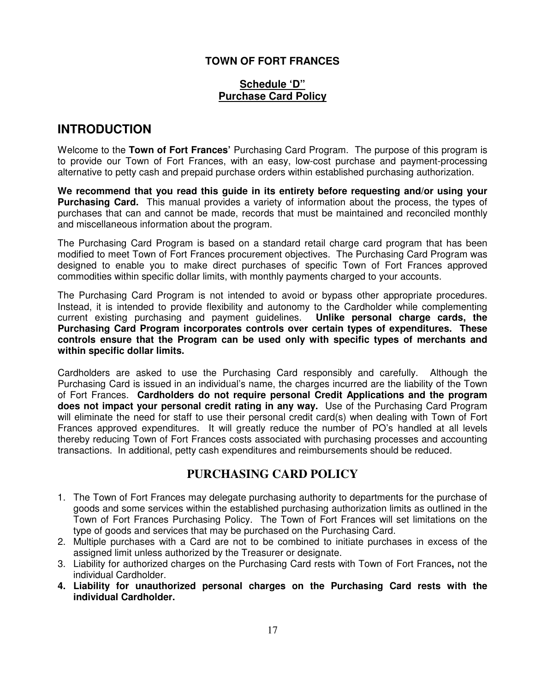#### **TOWN OF FORT FRANCES**

#### **Schedule 'D" Purchase Card Policy**

# **INTRODUCTION**

Welcome to the **Town of Fort Frances'** Purchasing Card Program. The purpose of this program is to provide our Town of Fort Frances, with an easy, low-cost purchase and payment-processing alternative to petty cash and prepaid purchase orders within established purchasing authorization.

**We recommend that you read this guide in its entirety before requesting and/or using your Purchasing Card.** This manual provides a variety of information about the process, the types of purchases that can and cannot be made, records that must be maintained and reconciled monthly and miscellaneous information about the program.

The Purchasing Card Program is based on a standard retail charge card program that has been modified to meet Town of Fort Frances procurement objectives. The Purchasing Card Program was designed to enable you to make direct purchases of specific Town of Fort Frances approved commodities within specific dollar limits, with monthly payments charged to your accounts.

The Purchasing Card Program is not intended to avoid or bypass other appropriate procedures. Instead, it is intended to provide flexibility and autonomy to the Cardholder while complementing current existing purchasing and payment guidelines. **Unlike personal charge cards, the Purchasing Card Program incorporates controls over certain types of expenditures. These controls ensure that the Program can be used only with specific types of merchants and within specific dollar limits.** 

Cardholders are asked to use the Purchasing Card responsibly and carefully. Although the Purchasing Card is issued in an individual's name, the charges incurred are the liability of the Town of Fort Frances. **Cardholders do not require personal Credit Applications and the program does not impact your personal credit rating in any way.** Use of the Purchasing Card Program will eliminate the need for staff to use their personal credit card(s) when dealing with Town of Fort Frances approved expenditures. It will greatly reduce the number of PO's handled at all levels thereby reducing Town of Fort Frances costs associated with purchasing processes and accounting transactions. In additional, petty cash expenditures and reimbursements should be reduced.

# **PURCHASING CARD POLICY**

- 1. The Town of Fort Frances may delegate purchasing authority to departments for the purchase of goods and some services within the established purchasing authorization limits as outlined in the Town of Fort Frances Purchasing Policy. The Town of Fort Frances will set limitations on the type of goods and services that may be purchased on the Purchasing Card.
- 2. Multiple purchases with a Card are not to be combined to initiate purchases in excess of the assigned limit unless authorized by the Treasurer or designate.
- 3. Liability for authorized charges on the Purchasing Card rests with Town of Fort Frances**,** not the individual Cardholder.
- **4. Liability for unauthorized personal charges on the Purchasing Card rests with the individual Cardholder.**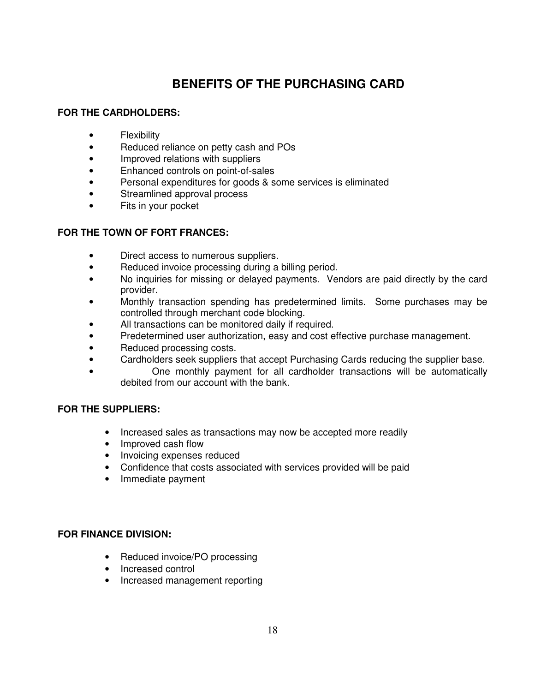# **BENEFITS OF THE PURCHASING CARD**

#### **FOR THE CARDHOLDERS:**

- Flexibility
- Reduced reliance on petty cash and POs
- Improved relations with suppliers
- Enhanced controls on point-of-sales
- Personal expenditures for goods & some services is eliminated
- Streamlined approval process
- Fits in your pocket

#### **FOR THE TOWN OF FORT FRANCES:**

- Direct access to numerous suppliers.
- Reduced invoice processing during a billing period.
- No inquiries for missing or delayed payments. Vendors are paid directly by the card provider.
- Monthly transaction spending has predetermined limits. Some purchases may be controlled through merchant code blocking.
- All transactions can be monitored daily if required.
- Predetermined user authorization, easy and cost effective purchase management.
- Reduced processing costs.
- Cardholders seek suppliers that accept Purchasing Cards reducing the supplier base.
- One monthly payment for all cardholder transactions will be automatically debited from our account with the bank.

#### **FOR THE SUPPLIERS:**

- Increased sales as transactions may now be accepted more readily
- Improved cash flow
- Invoicing expenses reduced
- Confidence that costs associated with services provided will be paid
- Immediate payment

#### **FOR FINANCE DIVISION:**

- Reduced invoice/PO processing
- Increased control
- Increased management reporting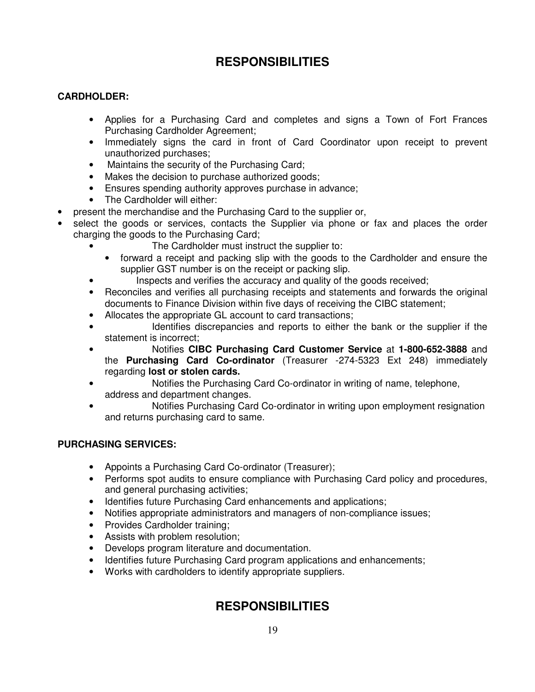# **RESPONSIBILITIES**

#### **CARDHOLDER:**

- Applies for a Purchasing Card and completes and signs a Town of Fort Frances Purchasing Cardholder Agreement;
- Immediately signs the card in front of Card Coordinator upon receipt to prevent unauthorized purchases;
- Maintains the security of the Purchasing Card;
- Makes the decision to purchase authorized goods;
- Ensures spending authority approves purchase in advance;
- The Cardholder will either:
- present the merchandise and the Purchasing Card to the supplier or,
- select the goods or services, contacts the Supplier via phone or fax and places the order charging the goods to the Purchasing Card;
	- The Cardholder must instruct the supplier to:
	- forward a receipt and packing slip with the goods to the Cardholder and ensure the supplier GST number is on the receipt or packing slip.
	- Inspects and verifies the accuracy and quality of the goods received;
	- Reconciles and verifies all purchasing receipts and statements and forwards the original documents to Finance Division within five days of receiving the CIBC statement;
	- Allocates the appropriate GL account to card transactions;
	- Identifies discrepancies and reports to either the bank or the supplier if the statement is incorrect;
	- Notifies **CIBC Purchasing Card Customer Service** at **1-800-652-3888** and the **Purchasing Card Co-ordinator** (Treasurer -274-5323 Ext 248) immediately regarding **lost or stolen cards.**
	- Notifies the Purchasing Card Co-ordinator in writing of name, telephone, address and department changes.
	- Notifies Purchasing Card Co-ordinator in writing upon employment resignation and returns purchasing card to same.

#### **PURCHASING SERVICES:**

- Appoints a Purchasing Card Co-ordinator (Treasurer);
- Performs spot audits to ensure compliance with Purchasing Card policy and procedures, and general purchasing activities;
- Identifies future Purchasing Card enhancements and applications;
- Notifies appropriate administrators and managers of non-compliance issues;
- Provides Cardholder training;
- Assists with problem resolution;
- Develops program literature and documentation.
- Identifies future Purchasing Card program applications and enhancements;
- Works with cardholders to identify appropriate suppliers.

# **RESPONSIBILITIES**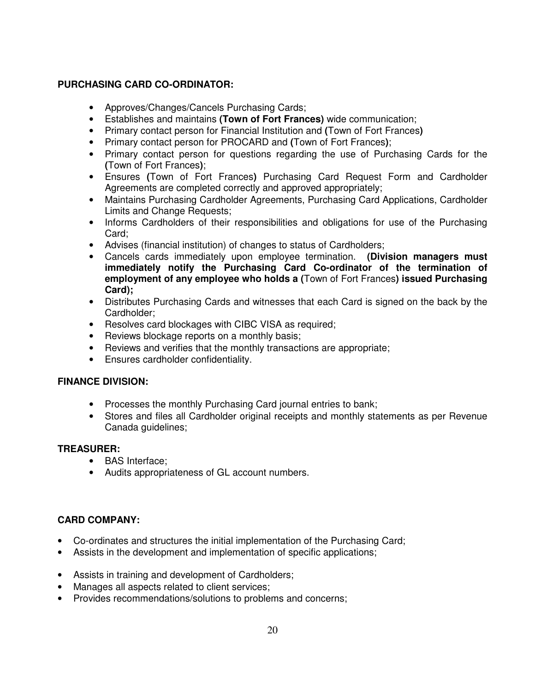#### **PURCHASING CARD CO-ORDINATOR:**

- Approves/Changes/Cancels Purchasing Cards;
- Establishes and maintains **(Town of Fort Frances)** wide communication;
- Primary contact person for Financial Institution and **(**Town of Fort Frances**)**
- Primary contact person for PROCARD and **(**Town of Fort Frances**)**;
- Primary contact person for questions regarding the use of Purchasing Cards for the **(**Town of Fort Frances**)**;
- Ensures **(**Town of Fort Frances**)** Purchasing Card Request Form and Cardholder Agreements are completed correctly and approved appropriately;
- Maintains Purchasing Cardholder Agreements, Purchasing Card Applications, Cardholder Limits and Change Requests;
- Informs Cardholders of their responsibilities and obligations for use of the Purchasing Card;
- Advises (financial institution) of changes to status of Cardholders;
- Cancels cards immediately upon employee termination. **(Division managers must immediately notify the Purchasing Card Co-ordinator of the termination of employment of any employee who holds a (**Town of Fort Frances**) issued Purchasing Card);**
- Distributes Purchasing Cards and witnesses that each Card is signed on the back by the Cardholder;
- Resolves card blockages with CIBC VISA as required;
- Reviews blockage reports on a monthly basis;
- Reviews and verifies that the monthly transactions are appropriate;
- Ensures cardholder confidentiality.

#### **FINANCE DIVISION:**

- Processes the monthly Purchasing Card journal entries to bank;
- Stores and files all Cardholder original receipts and monthly statements as per Revenue Canada guidelines;

#### **TREASURER:**

- BAS Interface;
- Audits appropriateness of GL account numbers.

#### **CARD COMPANY:**

- Co-ordinates and structures the initial implementation of the Purchasing Card;
- Assists in the development and implementation of specific applications;
- Assists in training and development of Cardholders;
- Manages all aspects related to client services;
- Provides recommendations/solutions to problems and concerns;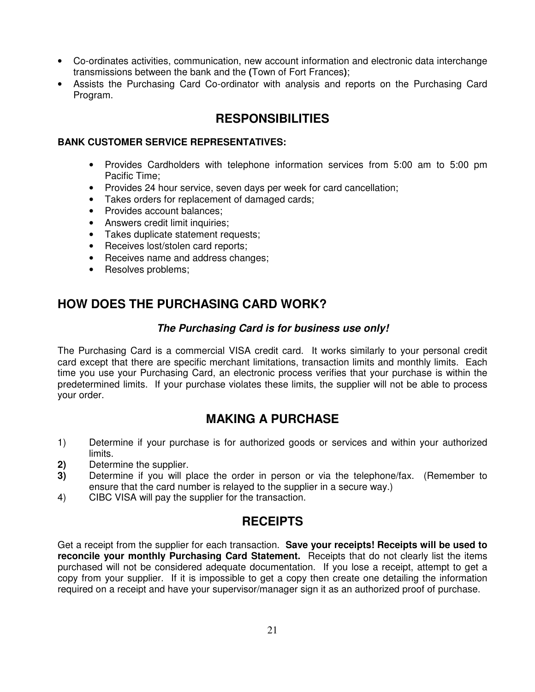- Co-ordinates activities, communication, new account information and electronic data interchange transmissions between the bank and the **(**Town of Fort Frances**)**;
- Assists the Purchasing Card Co-ordinator with analysis and reports on the Purchasing Card Program.

# **RESPONSIBILITIES**

#### **BANK CUSTOMER SERVICE REPRESENTATIVES:**

- Provides Cardholders with telephone information services from 5:00 am to 5:00 pm Pacific Time;
- Provides 24 hour service, seven days per week for card cancellation;
- Takes orders for replacement of damaged cards;
- Provides account balances;
- Answers credit limit inquiries;
- Takes duplicate statement requests;
- Receives lost/stolen card reports;
- Receives name and address changes;
- Resolves problems;

# **HOW DOES THE PURCHASING CARD WORK?**

#### **The Purchasing Card is for business use only!**

The Purchasing Card is a commercial VISA credit card. It works similarly to your personal credit card except that there are specific merchant limitations, transaction limits and monthly limits. Each time you use your Purchasing Card, an electronic process verifies that your purchase is within the predetermined limits. If your purchase violates these limits, the supplier will not be able to process your order.

# **MAKING A PURCHASE**

- 1) Determine if your purchase is for authorized goods or services and within your authorized limits.
- **2)** Determine the supplier.
- **3)** Determine if you will place the order in person or via the telephone/fax. (Remember to ensure that the card number is relayed to the supplier in a secure way.)
- 4) CIBC VISA will pay the supplier for the transaction.

# **RECEIPTS**

Get a receipt from the supplier for each transaction. **Save your receipts! Receipts will be used to reconcile your monthly Purchasing Card Statement.** Receipts that do not clearly list the items purchased will not be considered adequate documentation. If you lose a receipt, attempt to get a copy from your supplier. If it is impossible to get a copy then create one detailing the information required on a receipt and have your supervisor/manager sign it as an authorized proof of purchase.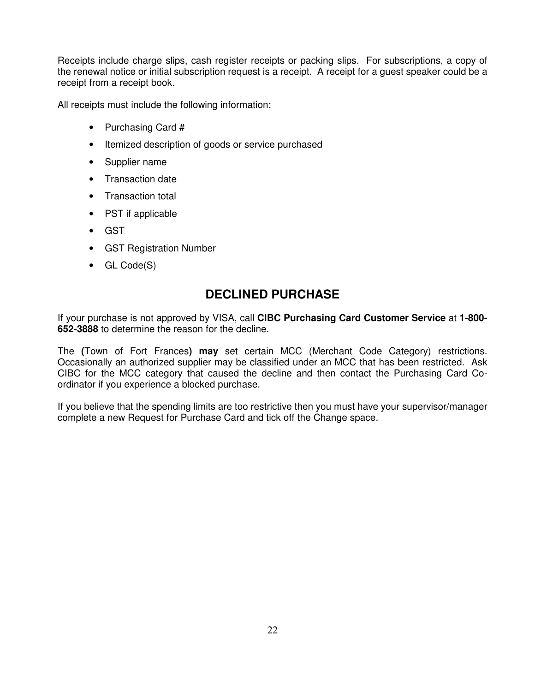Receipts include charge slips, cash register receipts or packing slips. For subscriptions, a copy of the renewal notice or initial subscription request is a receipt. A receipt for a guest speaker could be a receipt from a receipt book.

All receipts must include the following information:

- Purchasing Card #
- Itemized description of goods or service purchased
- Supplier name
- Transaction date
- Transaction total
- PST if applicable
- GST
- GST Registration Number
- GL Code(S)

# **DECLINED PURCHASE**

If your purchase is not approved by VISA, call **CIBC Purchasing Card Customer Service** at **1-800- 652-3888** to determine the reason for the decline.

The **(**Town of Fort Frances**) may** set certain MCC (Merchant Code Category) restrictions. Occasionally an authorized supplier may be classified under an MCC that has been restricted. Ask CIBC for the MCC category that caused the decline and then contact the Purchasing Card Coordinator if you experience a blocked purchase.

If you believe that the spending limits are too restrictive then you must have your supervisor/manager complete a new Request for Purchase Card and tick off the Change space.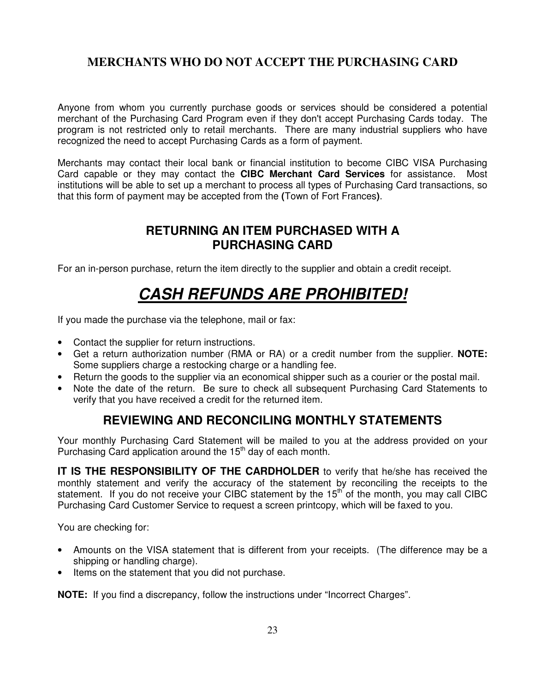# **MERCHANTS WHO DO NOT ACCEPT THE PURCHASING CARD**

Anyone from whom you currently purchase goods or services should be considered a potential merchant of the Purchasing Card Program even if they don't accept Purchasing Cards today. The program is not restricted only to retail merchants. There are many industrial suppliers who have recognized the need to accept Purchasing Cards as a form of payment.

Merchants may contact their local bank or financial institution to become CIBC VISA Purchasing Card capable or they may contact the **CIBC Merchant Card Services** for assistance. Most institutions will be able to set up a merchant to process all types of Purchasing Card transactions, so that this form of payment may be accepted from the **(**Town of Fort Frances**)**.

# **RETURNING AN ITEM PURCHASED WITH A PURCHASING CARD**

For an in-person purchase, return the item directly to the supplier and obtain a credit receipt.

# **CASH REFUNDS ARE PROHIBITED!**

If you made the purchase via the telephone, mail or fax:

- Contact the supplier for return instructions.
- Get a return authorization number (RMA or RA) or a credit number from the supplier. **NOTE:** Some suppliers charge a restocking charge or a handling fee.
- Return the goods to the supplier via an economical shipper such as a courier or the postal mail.
- Note the date of the return. Be sure to check all subsequent Purchasing Card Statements to verify that you have received a credit for the returned item.

# **REVIEWING AND RECONCILING MONTHLY STATEMENTS**

Your monthly Purchasing Card Statement will be mailed to you at the address provided on your Purchasing Card application around the 15<sup>th</sup> day of each month.

**IT IS THE RESPONSIBILITY OF THE CARDHOLDER** to verify that he/she has received the monthly statement and verify the accuracy of the statement by reconciling the receipts to the statement. If you do not receive your CIBC statement by the 15<sup>th</sup> of the month, you may call CIBC Purchasing Card Customer Service to request a screen printcopy, which will be faxed to you.

You are checking for:

- Amounts on the VISA statement that is different from your receipts. (The difference may be a shipping or handling charge).
- Items on the statement that you did not purchase.

**NOTE:** If you find a discrepancy, follow the instructions under "Incorrect Charges".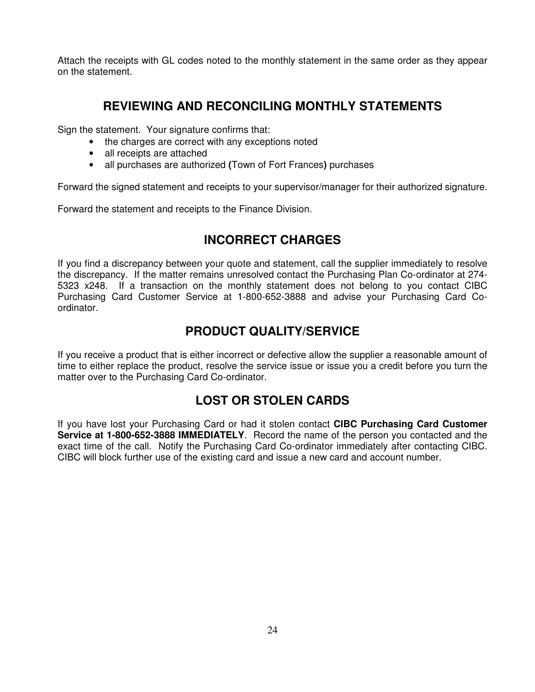Attach the receipts with GL codes noted to the monthly statement in the same order as they appear on the statement.

# **REVIEWING AND RECONCILING MONTHLY STATEMENTS**

Sign the statement. Your signature confirms that:

- the charges are correct with any exceptions noted
- all receipts are attached
- all purchases are authorized **(**Town of Fort Frances**)** purchases

Forward the signed statement and receipts to your supervisor/manager for their authorized signature.

Forward the statement and receipts to the Finance Division.

# **INCORRECT CHARGES**

If you find a discrepancy between your quote and statement, call the supplier immediately to resolve the discrepancy. If the matter remains unresolved contact the Purchasing Plan Co-ordinator at 274- 5323 x248. If a transaction on the monthly statement does not belong to you contact CIBC Purchasing Card Customer Service at 1-800-652-3888 and advise your Purchasing Card Coordinator.

# **PRODUCT QUALITY/SERVICE**

If you receive a product that is either incorrect or defective allow the supplier a reasonable amount of time to either replace the product, resolve the service issue or issue you a credit before you turn the matter over to the Purchasing Card Co-ordinator.

# **LOST OR STOLEN CARDS**

If you have lost your Purchasing Card or had it stolen contact **CIBC Purchasing Card Customer Service at 1-800-652-3888 IMMEDIATELY**. Record the name of the person you contacted and the exact time of the call. Notify the Purchasing Card Co-ordinator immediately after contacting CIBC. CIBC will block further use of the existing card and issue a new card and account number.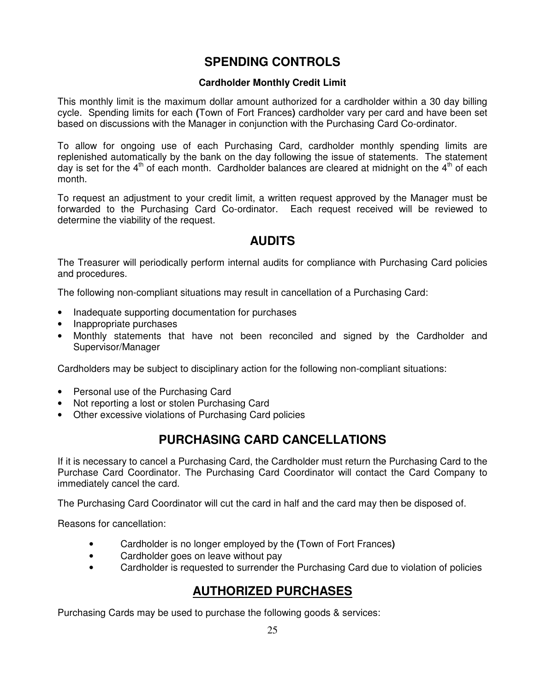# **SPENDING CONTROLS**

#### **Cardholder Monthly Credit Limit**

This monthly limit is the maximum dollar amount authorized for a cardholder within a 30 day billing cycle. Spending limits for each **(**Town of Fort Frances**)** cardholder vary per card and have been set based on discussions with the Manager in conjunction with the Purchasing Card Co-ordinator.

To allow for ongoing use of each Purchasing Card, cardholder monthly spending limits are replenished automatically by the bank on the day following the issue of statements. The statement day is set for the  $4<sup>th</sup>$  of each month. Cardholder balances are cleared at midnight on the  $4<sup>th</sup>$  of each month.

To request an adjustment to your credit limit, a written request approved by the Manager must be forwarded to the Purchasing Card Co-ordinator. Each request received will be reviewed to determine the viability of the request.

# **AUDITS**

The Treasurer will periodically perform internal audits for compliance with Purchasing Card policies and procedures.

The following non-compliant situations may result in cancellation of a Purchasing Card:

- Inadequate supporting documentation for purchases
- Inappropriate purchases
- Monthly statements that have not been reconciled and signed by the Cardholder and Supervisor/Manager

Cardholders may be subject to disciplinary action for the following non-compliant situations:

- Personal use of the Purchasing Card
- Not reporting a lost or stolen Purchasing Card
- Other excessive violations of Purchasing Card policies

# **PURCHASING CARD CANCELLATIONS**

If it is necessary to cancel a Purchasing Card, the Cardholder must return the Purchasing Card to the Purchase Card Coordinator. The Purchasing Card Coordinator will contact the Card Company to immediately cancel the card.

The Purchasing Card Coordinator will cut the card in half and the card may then be disposed of.

Reasons for cancellation:

- Cardholder is no longer employed by the **(**Town of Fort Frances**)**
- Cardholder goes on leave without pay
- Cardholder is requested to surrender the Purchasing Card due to violation of policies

# **AUTHORIZED PURCHASES**

Purchasing Cards may be used to purchase the following goods & services: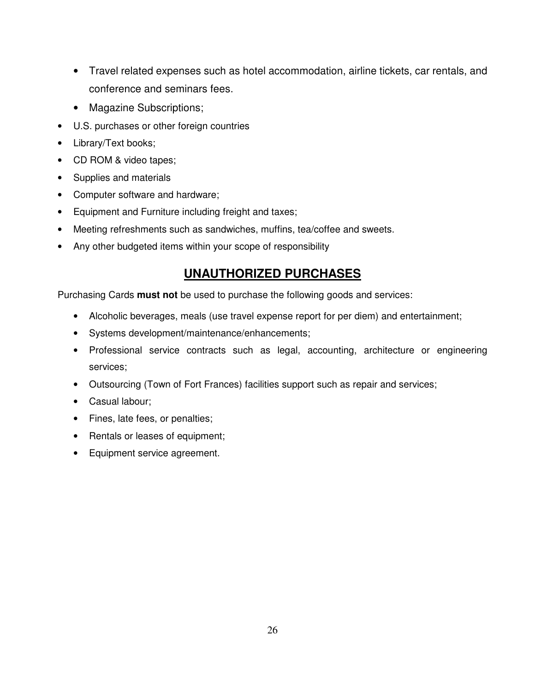- Travel related expenses such as hotel accommodation, airline tickets, car rentals, and conference and seminars fees.
- Magazine Subscriptions;
- U.S. purchases or other foreign countries
- Library/Text books;
- CD ROM & video tapes;
- Supplies and materials
- Computer software and hardware;
- Equipment and Furniture including freight and taxes;
- Meeting refreshments such as sandwiches, muffins, tea/coffee and sweets.
- Any other budgeted items within your scope of responsibility

# **UNAUTHORIZED PURCHASES**

Purchasing Cards **must not** be used to purchase the following goods and services:

- Alcoholic beverages, meals (use travel expense report for per diem) and entertainment;
- Systems development/maintenance/enhancements;
- Professional service contracts such as legal, accounting, architecture or engineering services;
- Outsourcing (Town of Fort Frances) facilities support such as repair and services;
- Casual labour;
- Fines, late fees, or penalties;
- Rentals or leases of equipment;
- Equipment service agreement.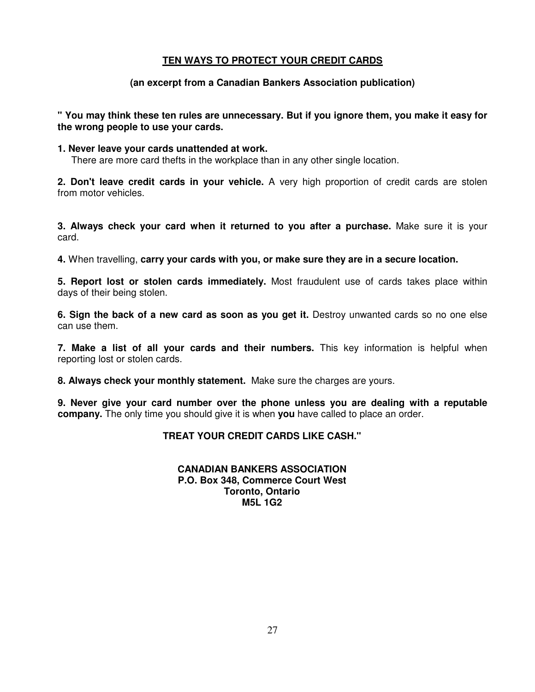#### **TEN WAYS TO PROTECT YOUR CREDIT CARDS**

#### **(an excerpt from a Canadian Bankers Association publication)**

#### **" You may think these ten rules are unnecessary. But if you ignore them, you make it easy for the wrong people to use your cards.**

#### **1. Never leave your cards unattended at work.**

There are more card thefts in the workplace than in any other single location.

**2. Don't leave credit cards in your vehicle.** A very high proportion of credit cards are stolen from motor vehicles.

**3. Always check your card when it returned to you after a purchase.** Make sure it is your card.

**4.** When travelling, **carry your cards with you, or make sure they are in a secure location.** 

**5. Report lost or stolen cards immediately.** Most fraudulent use of cards takes place within days of their being stolen.

**6. Sign the back of a new card as soon as you get it.** Destroy unwanted cards so no one else can use them.

**7. Make a list of all your cards and their numbers.** This key information is helpful when reporting lost or stolen cards.

**8. Always check your monthly statement.** Make sure the charges are yours.

**9. Never give your card number over the phone unless you are dealing with a reputable company.** The only time you should give it is when **you** have called to place an order.

#### **TREAT YOUR CREDIT CARDS LIKE CASH."**

#### **CANADIAN BANKERS ASSOCIATION P.O. Box 348, Commerce Court West Toronto, Ontario M5L 1G2**